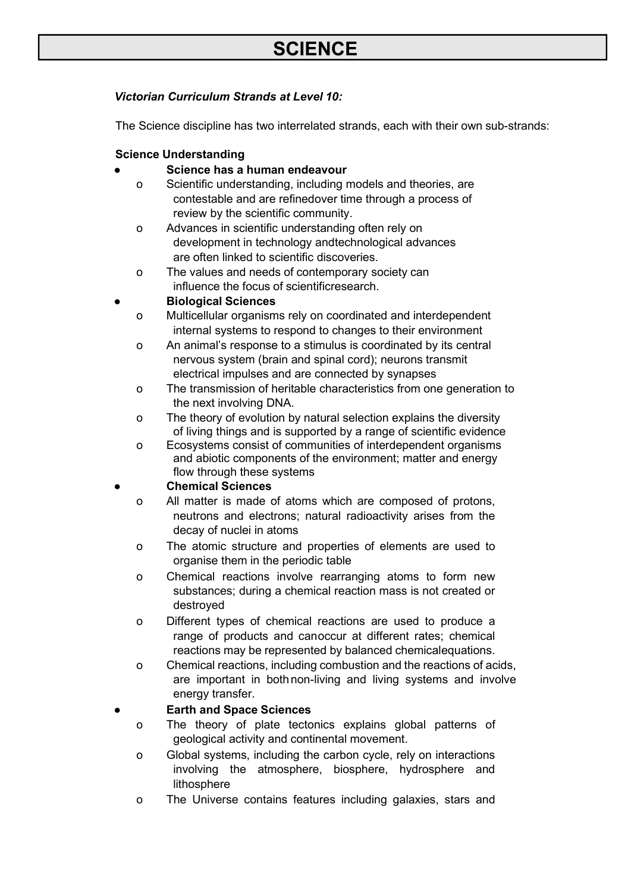# *Victorian Curriculum Strands at Level 10:*

The Science discipline has two interrelated strands, each with their own sub-strands:

# **Science Understanding**

# **● Science has a human endeavour**

- o Scientific understanding, including models and theories, are contestable and are refinedover time through a process of review by the scientific community.
- o Advances in scientific understanding often rely on development in technology andtechnological advances are often linked to scientific discoveries.
- o The values and needs of contemporary society can influence the focus of scientificresearch.

# **● Biological Sciences**

- o Multicellular organisms rely on coordinated and interdependent internal systems to respond to changes to their environment
- o An animal's response to a stimulus is coordinated by its central nervous system (brain and spinal cord); neurons transmit electrical impulses and are connected by synapses
- o The transmission of heritable characteristics from one generation to the next involving DNA.
- o The theory of evolution by natural selection explains the diversity of living things and is supported by a range of scientific evidence
- o Ecosystems consist of communities of interdependent organisms and abiotic components of the environment; matter and energy flow through these systems

## **● Chemical Sciences**

- o All matter is made of atoms which are composed of protons, neutrons and electrons; natural radioactivity arises from the decay of nuclei in atoms
- o The atomic structure and properties of elements are used to organise them in the periodic table
- o Chemical reactions involve rearranging atoms to form new substances; during a chemical reaction mass is not created or destroyed
- o Different types of chemical reactions are used to produce a range of products and canoccur at different rates; chemical reactions may be represented by balanced chemicalequations.
- o Chemical reactions, including combustion and the reactions of acids, are important in bothnon-living and living systems and involve energy transfer.

# **● Earth and Space Sciences**

- o The theory of plate tectonics explains global patterns of geological activity and continental movement.
- o Global systems, including the carbon cycle, rely on interactions involving the atmosphere, biosphere, hydrosphere and lithosphere
- o The Universe contains features including galaxies, stars and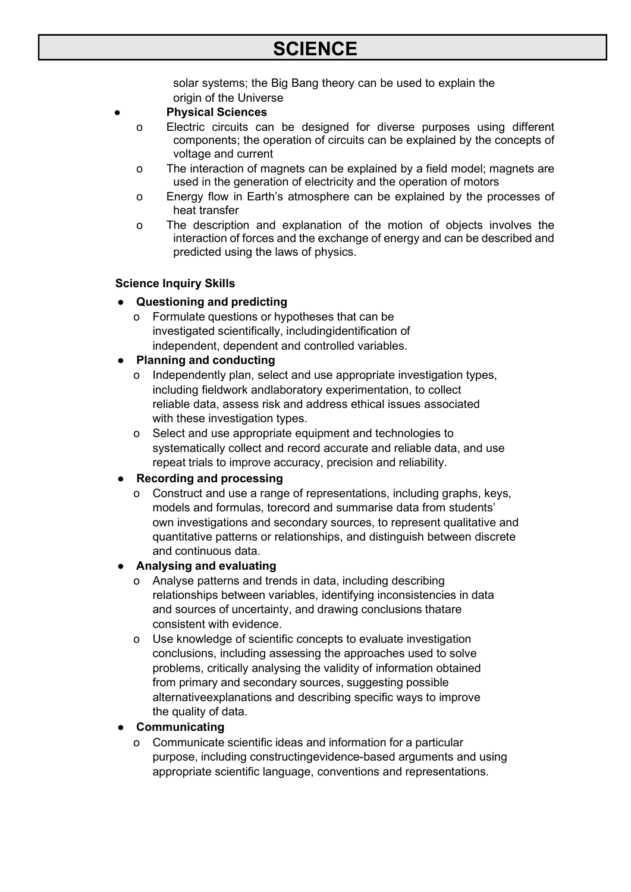solar systems; the Big Bang theory can be used to explain the origin of the Universe

# **● Physical Sciences**

- o Electric circuits can be designed for diverse purposes using different components; the operation of circuits can be explained by the concepts of voltage and current
- o The interaction of magnets can be explained by a field model; magnets are used in the generation of electricity and the operation of motors
- o Energy flow in Earth's atmosphere can be explained by the processes of heat transfer
- o The description and explanation of the motion of objects involves the interaction of forces and the exchange of energy and can be described and predicted using the laws of physics.

## **Science Inquiry Skills**

- **● Questioning and predicting**
	- o Formulate questions or hypotheses that can be investigated scientifically, includingidentification of independent, dependent and controlled variables.

# **● Planning and conducting**

- Independently plan, select and use appropriate investigation types, including fieldwork andlaboratory experimentation, to collect reliable data, assess risk and address ethical issues associated with these investigation types.
- o Select and use appropriate equipment and technologies to systematically collect and record accurate and reliable data, and use repeat trials to improve accuracy, precision and reliability.

## **● Recording and processing**

o Construct and use a range of representations, including graphs, keys, models and formulas, torecord and summarise data from students' own investigations and secondary sources, to represent qualitative and quantitative patterns or relationships, and distinguish between discrete and continuous data.

## **● Analysing and evaluating**

- o Analyse patterns and trends in data, including describing relationships between variables, identifying inconsistencies in data and sources of uncertainty, and drawing conclusions thatare consistent with evidence.
- o Use knowledge of scientific concepts to evaluate investigation conclusions, including assessing the approaches used to solve problems, critically analysing the validity of information obtained from primary and secondary sources, suggesting possible alternativeexplanations and describing specific ways to improve the quality of data.

# **● Communicating**

o Communicate scientific ideas and information for a particular purpose, including constructingevidence-based arguments and using appropriate scientific language, conventions and representations.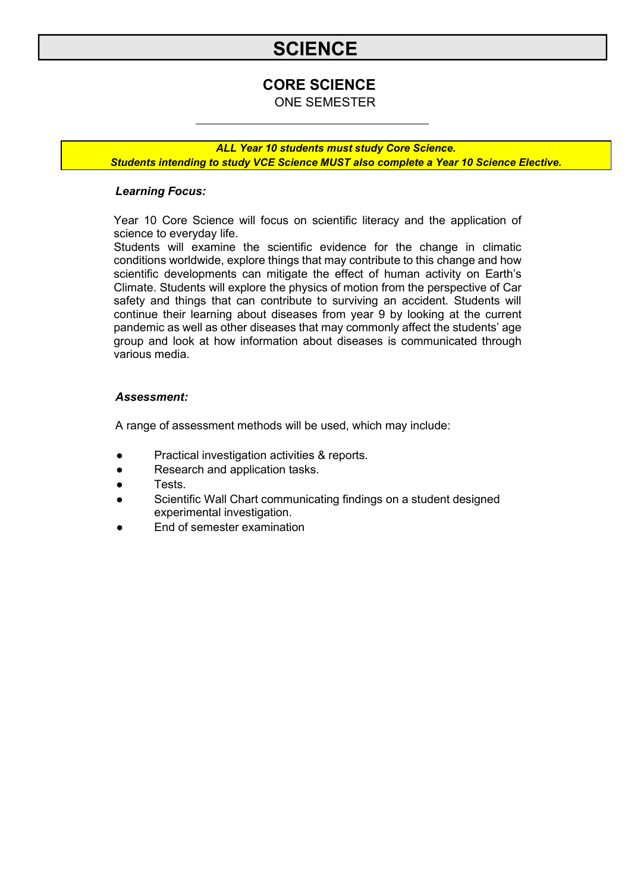# **CORE SCIENCE**

ONE SEMESTER

*ALL Year 10 students must study Core Science. Students intending to study VCE Science MUST also complete a Year 10 Science Elective.*

## *Learning Focus:*

Year 10 Core Science will focus on scientific literacy and the application of science to everyday life.

Students will examine the scientific evidence for the change in climatic conditions worldwide, explore things that may contribute to this change and how scientific developments can mitigate the effect of human activity on Earth's Climate. Students will explore the physics of motion from the perspective of Car safety and things that can contribute to surviving an accident. Students will continue their learning about diseases from year 9 by looking at the current pandemic as well as other diseases that may commonly affect the students' age group and look at how information about diseases is communicated through various media.

#### *Assessment:*

- Practical investigation activities & reports.
- Research and application tasks.
- **Tests**
- Scientific Wall Chart communicating findings on a student designed experimental investigation.
- End of semester examination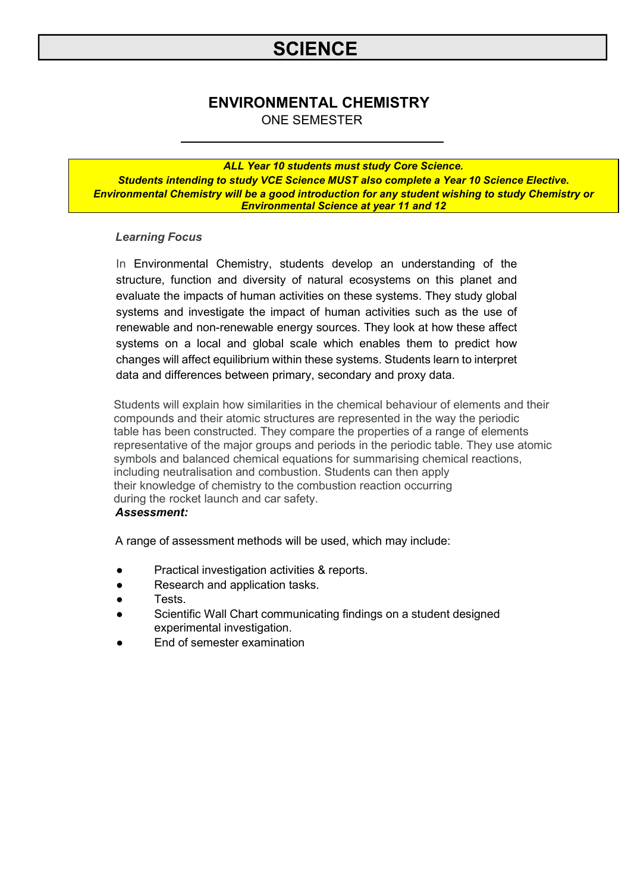# **ENVIRONMENTAL CHEMISTRY**

ONE SEMESTER

*ALL Year 10 students must study Core Science. Students intending to study VCE Science MUST also complete a Year 10 Science Elective. Environmental Chemistry will be a good introduction for any student wishing to study Chemistry or Environmental Science at year 11 and 12*

## *Learning Focus*

In Environmental Chemistry, students develop an understanding of the structure, function and diversity of natural ecosystems on this planet and evaluate the impacts of human activities on these systems. They study global systems and investigate the impact of human activities such as the use of renewable and non-renewable energy sources. They look at how these affect systems on a local and global scale which enables them to predict how changes will affect equilibrium within these systems. Students learn to interpret data and differences between primary, secondary and proxy data.

Students will explain how similarities in the chemical behaviour of elements and their compounds and their atomic structures are represented in the way the periodic table has been constructed. They compare the properties of a range of elements representative of the major groups and periods in the periodic table. They use atomic symbols and balanced chemical equations for summarising chemical reactions, including neutralisation and combustion. Students can then apply their knowledge of chemistry to the combustion reaction occurring during the rocket launch and car safety. *Assessment:*

- Practical investigation activities & reports.
- Research and application tasks.
- Tests.
- Scientific Wall Chart communicating findings on a student designed experimental investigation.
- End of semester examination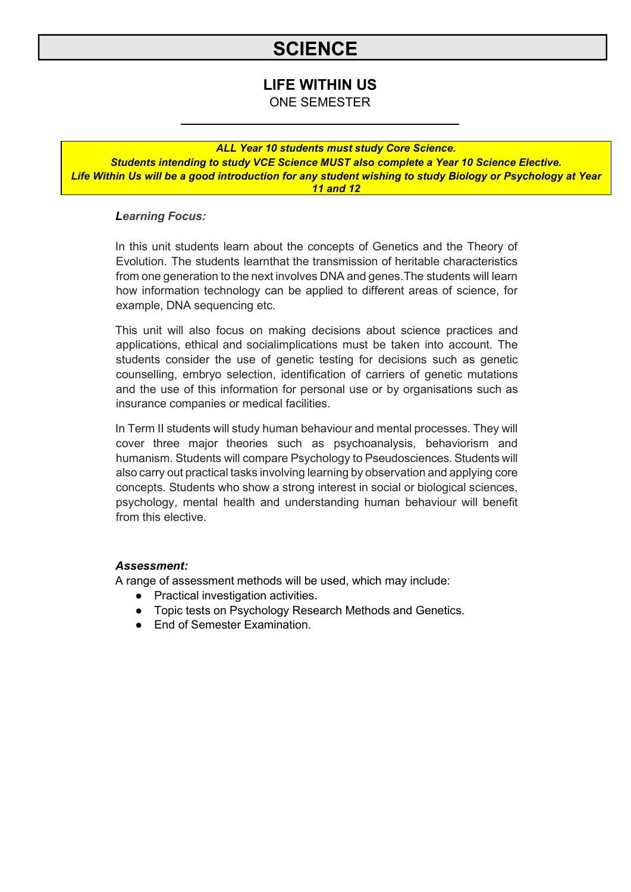# **LIFE WITHIN US**

ONE SEMESTER

## *ALL Year 10 students must study Core Science.*

*Students intending to study VCE Science MUST also complete a Year 10 Science Elective. Life Within Us will be a good introduction for any student wishing to study Biology or Psychology at Year 11 and 12*

## *Learning Focus:*

In this unit students learn about the concepts of Genetics and the Theory of Evolution. The students learnthat the transmission of heritable characteristics from one generation to the next involves DNA and genes.The students will learn how information technology can be applied to different areas of science, for example, DNA sequencing etc.

This unit will also focus on making decisions about science practices and applications, ethical and socialimplications must be taken into account. The students consider the use of genetic testing for decisions such as genetic counselling, embryo selection, identification of carriers of genetic mutations and the use of this information for personal use or by organisations such as insurance companies or medical facilities.

In Term II students will study human behaviour and mental processes. They will cover three major theories such as psychoanalysis, behaviorism and humanism. Students will compare Psychology to Pseudosciences. Students will also carry out practical tasks involving learning by observation and applying core concepts. Students who show a strong interest in social or biological sciences, psychology, mental health and understanding human behaviour will benefit from this elective.

#### *Assessment:*

- Practical investigation activities.
- Topic tests on Psychology Research Methods and Genetics.
- **End of Semester Examination.**